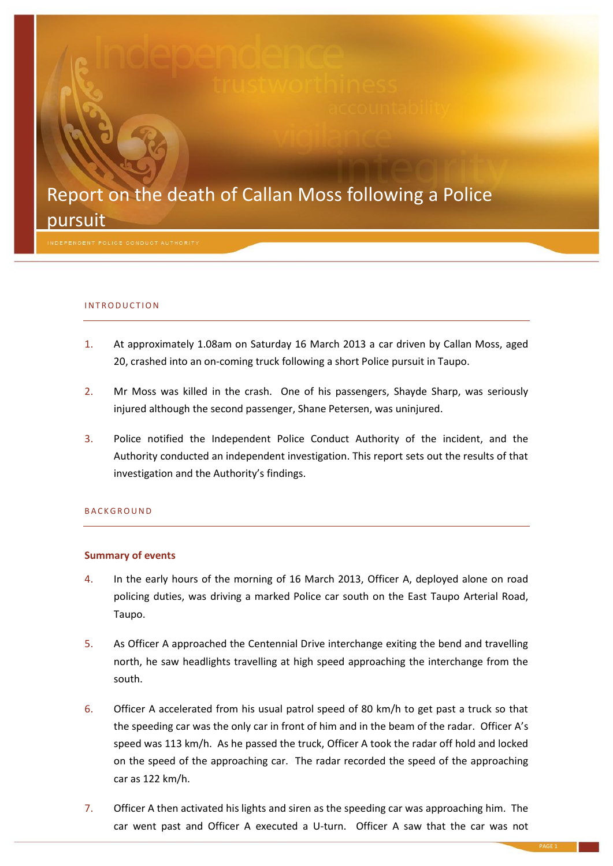## Report on the death of Callan Moss following a Police pursuit

#### INTRODUCTION

- 1. At approximately 1.08am on Saturday 16 March 2013 a car driven by Callan Moss, aged 20, crashed into an on-coming truck following a short Police pursuit in Taupo.
- 2. Mr Moss was killed in the crash. One of his passengers, Shayde Sharp, was seriously injured although the second passenger, Shane Petersen, was uninjured.
- 3. Police notified the Independent Police Conduct Authority of the incident, and the Authority conducted an independent investigation. This report sets out the results of that investigation and the Authority's findings.

#### **BACKGROUND**

#### **Summary of events**

- 4. In the early hours of the morning of 16 March 2013, Officer A, deployed alone on road policing duties, was driving a marked Police car south on the East Taupo Arterial Road, Taupo.
- 5. As Officer A approached the Centennial Drive interchange exiting the bend and travelling north, he saw headlights travelling at high speed approaching the interchange from the south.
- 6. Officer A accelerated from his usual patrol speed of 80 km/h to get past a truck so that the speeding car was the only car in front of him and in the beam of the radar. Officer A's speed was 113 km/h. As he passed the truck, Officer A took the radar off hold and locked on the speed of the approaching car. The radar recorded the speed of the approaching car as 122 km/h.
- 7. Officer A then activated his lights and siren as the speeding car was approaching him. The car went past and Officer A executed a U-turn. Officer A saw that the car was not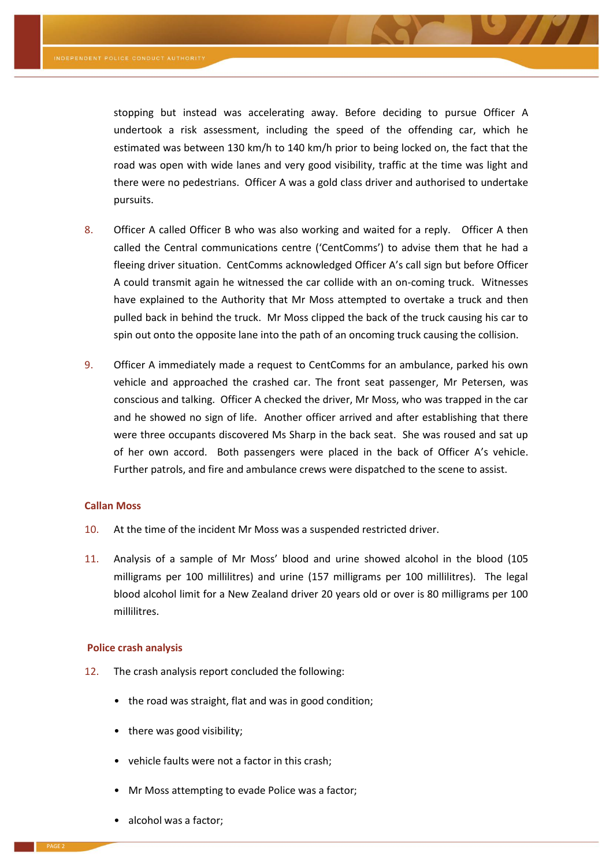stopping but instead was accelerating away. Before deciding to pursue Officer A undertook a risk assessment, including the speed of the offending car, which he estimated was between 130 km/h to 140 km/h prior to being locked on, the fact that the road was open with wide lanes and very good visibility, traffic at the time was light and there were no pedestrians. Officer A was a gold class driver and authorised to undertake pursuits.

- 8. Officer A called Officer B who was also working and waited for a reply. Officer A then called the Central communications centre ('CentComms') to advise them that he had a fleeing driver situation. CentComms acknowledged Officer A's call sign but before Officer A could transmit again he witnessed the car collide with an on-coming truck. Witnesses have explained to the Authority that Mr Moss attempted to overtake a truck and then pulled back in behind the truck. Mr Moss clipped the back of the truck causing his car to spin out onto the opposite lane into the path of an oncoming truck causing the collision.
- 9. Officer A immediately made a request to CentComms for an ambulance, parked his own vehicle and approached the crashed car. The front seat passenger, Mr Petersen, was conscious and talking. Officer A checked the driver, Mr Moss, who was trapped in the car and he showed no sign of life. Another officer arrived and after establishing that there were three occupants discovered Ms Sharp in the back seat. She was roused and sat up of her own accord. Both passengers were placed in the back of Officer A's vehicle. Further patrols, and fire and ambulance crews were dispatched to the scene to assist.

#### **Callan Moss**

- 10. At the time of the incident Mr Moss was a suspended restricted driver.
- 11. Analysis of a sample of Mr Moss' blood and urine showed alcohol in the blood (105 milligrams per 100 millilitres) and urine (157 milligrams per 100 millilitres). The legal blood alcohol limit for a New Zealand driver 20 years old or over is 80 milligrams per 100 millilitres.

#### **Police crash analysis**

- 12. The crash analysis report concluded the following:
	- the road was straight, flat and was in good condition;
	- there was good visibility;
	- vehicle faults were not a factor in this crash;
	- Mr Moss attempting to evade Police was a factor;
	- alcohol was a factor;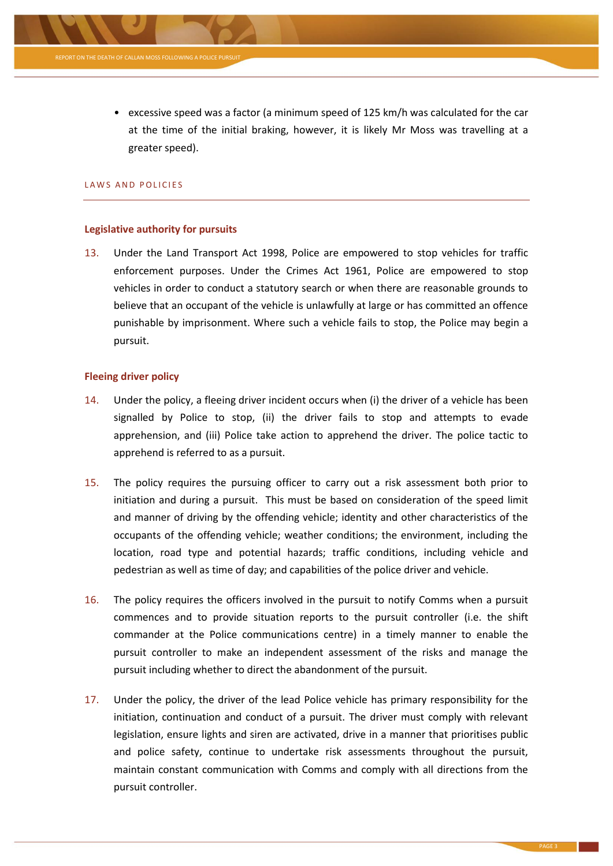

• excessive speed was a factor (a minimum speed of 125 km/h was calculated for the car at the time of the initial braking, however, it is likely Mr Moss was travelling at a greater speed).

### LAWS AND POLICIES

#### **Legislative authority for pursuits**

13. Under the Land Transport Act 1998, Police are empowered to stop vehicles for traffic enforcement purposes. Under the Crimes Act 1961, Police are empowered to stop vehicles in order to conduct a statutory search or when there are reasonable grounds to believe that an occupant of the vehicle is unlawfully at large or has committed an offence punishable by imprisonment. Where such a vehicle fails to stop, the Police may begin a pursuit.

#### **Fleeing driver policy**

- 14. Under the policy, a fleeing driver incident occurs when (i) the driver of a vehicle has been signalled by Police to stop, (ii) the driver fails to stop and attempts to evade apprehension, and (iii) Police take action to apprehend the driver. The police tactic to apprehend is referred to as a pursuit.
- 15. The policy requires the pursuing officer to carry out a risk assessment both prior to initiation and during a pursuit. This must be based on consideration of the speed limit and manner of driving by the offending vehicle; identity and other characteristics of the occupants of the offending vehicle; weather conditions; the environment, including the location, road type and potential hazards; traffic conditions, including vehicle and pedestrian as well as time of day; and capabilities of the police driver and vehicle.
- 16. The policy requires the officers involved in the pursuit to notify Comms when a pursuit commences and to provide situation reports to the pursuit controller (i.e. the shift commander at the Police communications centre) in a timely manner to enable the pursuit controller to make an independent assessment of the risks and manage the pursuit including whether to direct the abandonment of the pursuit.
- 17. Under the policy, the driver of the lead Police vehicle has primary responsibility for the initiation, continuation and conduct of a pursuit. The driver must comply with relevant legislation, ensure lights and siren are activated, drive in a manner that prioritises public and police safety, continue to undertake risk assessments throughout the pursuit, maintain constant communication with Comms and comply with all directions from the pursuit controller.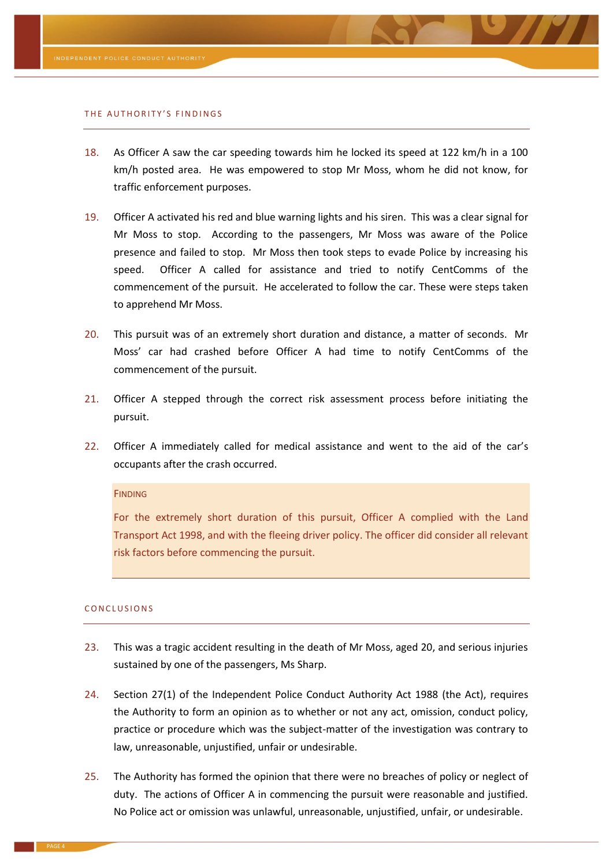#### THE AUTHORITY'S FINDINGS

- 18. As Officer A saw the car speeding towards him he locked its speed at 122 km/h in a 100 km/h posted area. He was empowered to stop Mr Moss, whom he did not know, for traffic enforcement purposes.
- 19. Officer A activated his red and blue warning lights and his siren. This was a clear signal for Mr Moss to stop. According to the passengers, Mr Moss was aware of the Police presence and failed to stop. Mr Moss then took steps to evade Police by increasing his speed. Officer A called for assistance and tried to notify CentComms of the commencement of the pursuit. He accelerated to follow the car. These were steps taken to apprehend Mr Moss.
- 20. This pursuit was of an extremely short duration and distance, a matter of seconds. Mr Moss' car had crashed before Officer A had time to notify CentComms of the commencement of the pursuit.
- 21. Officer A stepped through the correct risk assessment process before initiating the pursuit.
- 22. Officer A immediately called for medical assistance and went to the aid of the car's occupants after the crash occurred.

#### **FINDING**

For the extremely short duration of this pursuit, Officer A complied with the Land Transport Act 1998, and with the fleeing driver policy. The officer did consider all relevant risk factors before commencing the pursuit.

#### CONCLUSIONS

- 23. This was a tragic accident resulting in the death of Mr Moss, aged 20, and serious injuries sustained by one of the passengers, Ms Sharp.
- 24. Section 27(1) of the Independent Police Conduct Authority Act 1988 (the Act), requires the Authority to form an opinion as to whether or not any act, omission, conduct policy, practice or procedure which was the subject-matter of the investigation was contrary to law, unreasonable, unjustified, unfair or undesirable.
- 25. The Authority has formed the opinion that there were no breaches of policy or neglect of duty. The actions of Officer A in commencing the pursuit were reasonable and justified. No Police act or omission was unlawful, unreasonable, unjustified, unfair, or undesirable.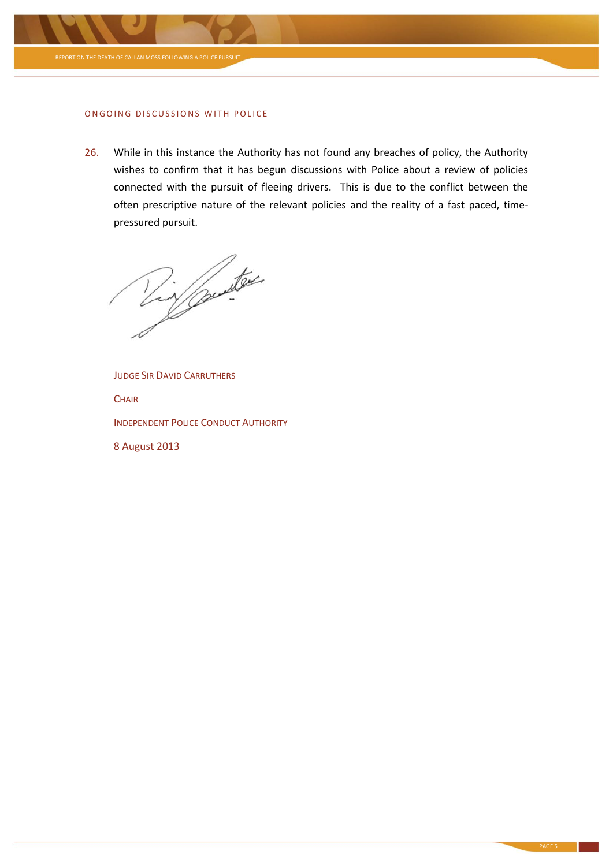

#### ONGOING DISCUSSIONS WITH POLICE

26. While in this instance the Authority has not found any breaches of policy, the Authority wishes to confirm that it has begun discussions with Police about a review of policies connected with the pursuit of fleeing drivers. This is due to the conflict between the often prescriptive nature of the relevant policies and the reality of a fast paced, timepressured pursuit.

y puites

JUDGE SIR DAVID CARRUTHERS **CHAIR** INDEPENDENT POLICE CONDUCT AUTHORITY 8 August 2013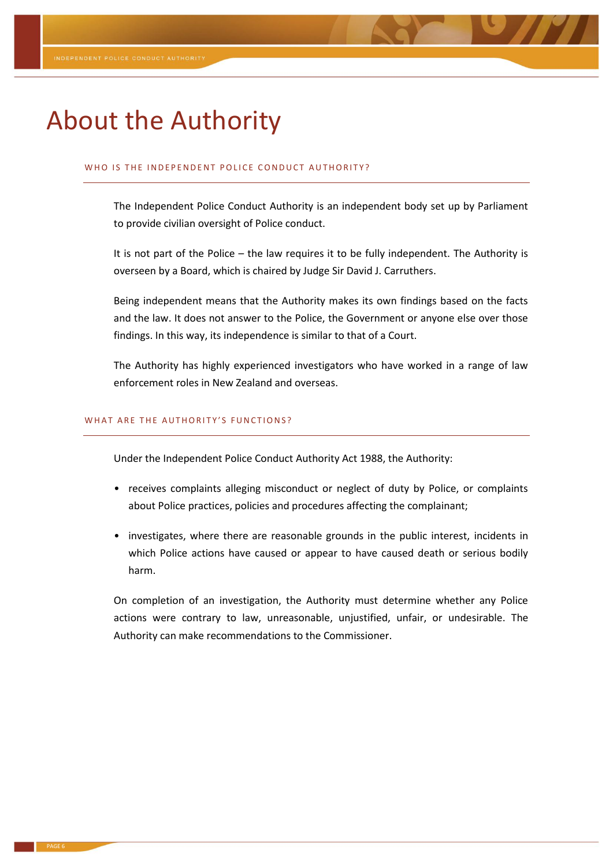# About the Authority

#### WHO IS THE INDEPENDENT POLICE CONDUCT AUTHORITY?

The Independent Police Conduct Authority is an independent body set up by Parliament to provide civilian oversight of Police conduct.

It is not part of the Police – the law requires it to be fully independent. The Authority is overseen by a Board, which is chaired by Judge Sir David J. Carruthers.

Being independent means that the Authority makes its own findings based on the facts and the law. It does not answer to the Police, the Government or anyone else over those findings. In this way, its independence is similar to that of a Court.

The Authority has highly experienced investigators who have worked in a range of law enforcement roles in New Zealand and overseas.

#### WHAT ARE THE AUTHORITY'S FUNCTIONS?

Under the Independent Police Conduct Authority Act 1988, the Authority:

- receives complaints alleging misconduct or neglect of duty by Police, or complaints about Police practices, policies and procedures affecting the complainant;
- investigates, where there are reasonable grounds in the public interest, incidents in which Police actions have caused or appear to have caused death or serious bodily harm.

On completion of an investigation, the Authority must determine whether any Police actions were contrary to law, unreasonable, unjustified, unfair, or undesirable. The Authority can make recommendations to the Commissioner.